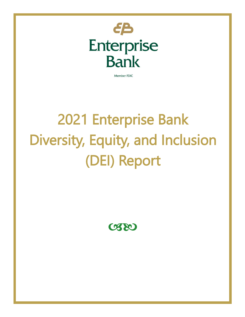

Member FDIC

# 2021 Enterprise Bank Diversity, Equity, and Inclusion (DEI) Report

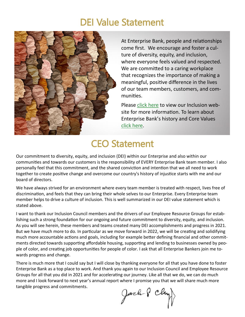#### DEI Value Statement



At Enterprise Bank, people and relationships come first. We encourage and foster a culture of diversity, equity, and inclusion, where everyone feels valued and respected. We are committed to a caring workplace that recognizes the importance of making a meaningful, positive difference in the lives of our team members, customers, and communities.

Please [click here](https://www.enterprisebanking.com/inclusion) to view our Inclusion website for more information. To learn about Enterprise Bank's history and Core Values [click here.](https://www.enterprisebanking.com/about-enterprise/our-story)

#### CEO Statement

Our commitment to diversity, equity, and inclusion (DEI) within our Enterprise and also within our communities and towards our customers is the responsibility of EVERY Enterprise Bank team member. I also personally feel that this commitment, and the shared conviction and intention that we all need to work together to create positive change and overcome our country's history of injustice starts with me and our board of directors.

We have always strived for an environment where every team member is treated with respect, lives free of discrimination, and feels that they can bring their whole selves to our Enterprise. Every Enterprise team member helps to drive a culture of inclusion. This is well summarized in our DEI value statement which is stated above.

I want to thank our Inclusion Council members and the drivers of our Employee Resource Groups for establishing such a strong foundation for our ongoing and future commitment to diversity, equity, and inclusion. As you will see herein, these members and teams created many DEI accomplishments and progress in 2021. But we have much more to do. In particular as we move forward in 2022, we will be creating and solidifying much more accountable actions and goals, including for example better defining financial and other commitments directed towards supporting affordable housing, supporting and lending to businesses owned by people of color, and creating job opportunities for people of color. I ask that all Enterprise Bankers join me towards progress and change.

There is much more that I could say but I will close by thanking everyone for all that you have done to foster Enterprise Bank as a top place to work. And thank you again to our Inclusion Council and Employee Resource Groups for all that you did in 2021 and for accelerating our journey. Like all that we do, we can do much more and I look forward to next year's annual report where I promise you that we will share much more tangible progress and commitments.

Jack & Ch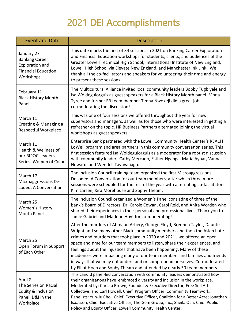# 2021 DEI Accomplishments

| <b>Event and Date</b>                                                                                    | <b>Description</b>                                                                                                                                                                                                                                                                                                                                                                                                                                                                                                                                                                                                           |  |  |  |  |  |
|----------------------------------------------------------------------------------------------------------|------------------------------------------------------------------------------------------------------------------------------------------------------------------------------------------------------------------------------------------------------------------------------------------------------------------------------------------------------------------------------------------------------------------------------------------------------------------------------------------------------------------------------------------------------------------------------------------------------------------------------|--|--|--|--|--|
| January 27<br><b>Banking Career</b><br><b>Exploration and</b><br><b>Financial Education</b><br>Workshops | This date marks the first of 34 sessions in 2021 on Banking Career Exploration<br>and Financial Education workshops for students, clients, and audiences of the<br>Greater Lowell Technical High School, International Institute of New England,<br>Lowell High School via Elevate New England, and Manchester Ink Link. We<br>thank all the co-facilitators and speakers for volunteering their time and energy<br>to present these sessions!                                                                                                                                                                               |  |  |  |  |  |
| February 11<br><b>Black History Month</b><br>Panel                                                       | The Multicultural Alliance invited local community leaders Bobby Tugbiyele and<br>Isa Woldeguiorguis as guest speakers for a Black History Month panel. Mona<br>Tyree and former EB team member Timna Nwokeji did a great job<br>co-moderating the discussion!                                                                                                                                                                                                                                                                                                                                                               |  |  |  |  |  |
| March 11<br>Creating & Managing a<br>Respectful Workplace                                                | This was one of four sessions we offered throughout the year for new<br>supervisors and managers, as well as for those who were interested in getting a<br>refresher on the topic. HR Business Partners alternated joining the virtual<br>workshops as guest speakers.                                                                                                                                                                                                                                                                                                                                                       |  |  |  |  |  |
| March 11<br>Health & Wellness of<br>our BIPOC Leaders<br>Series: Women of Color                          | Enterprise Bank partnered with the Lowell Community Health Center's REACH<br>LoWell program and area partners in this community conversation series. This<br>first session featured Isa Woldeguiorguis as a moderator for a robust discussion<br>with community leaders Cathy Mercado, Esther Nganga, Maria Aybar, Vanna<br>Howard, and Wendell Tavuyanago.                                                                                                                                                                                                                                                                  |  |  |  |  |  |
| March 17<br>Microaggressions De-<br>coded: A Conversation                                                | The Inclusion Council training team organized the first Microaggressions<br>Decoded: A Conversation for our team members, after which three more<br>sessions were scheduled for the rest of the year with alternating co-facilitators<br>Kim Larsen, Kira Morehouse and Sophy Theam.                                                                                                                                                                                                                                                                                                                                         |  |  |  |  |  |
| March 25<br><b>Women's History</b><br>Month Panel                                                        | The Inclusion Council organized a Women's Panel consisting of three of the<br>bank's Board of Directors: Dr. Carole Cowan, Carol Reid, and Anita Worden who<br>shared their experiences in their personal and professional lives. Thank you to<br>Jamie Gabriel and Marlene Hoyt for co-moderating!                                                                                                                                                                                                                                                                                                                          |  |  |  |  |  |
| March 25<br>Open Forum in Support<br>of Each Other                                                       | After the murders of Ahmaud Arbery, George Floyd, Breonna Taylor, Daunte<br>Wright and so many other Black community members and then the Asian hate<br>crimes and murders that took place in 2020 and 2021, we offered an open<br>space and time for our team members to listen, share their experiences, and<br>feelings about the injustices that have been happening. Many of these<br>incidences were impacting many of our team members and families and friends<br>in ways that we may not understand or comprehend ourselves. Co-moderated<br>by Elliot Hoan and Sophy Theam and attended by nearly 50 team members. |  |  |  |  |  |
| April 8<br>The Series on Racial<br>Equity & Inclusion<br>Panel: D&I in the<br>Workplace                  | This candid panel-led conversation with community leaders demonstrated how<br>their organizations have embraced diversity and inclusion in the workplace.<br>Moderated by: Christa Brown, Founder & Executive Director, Free Soil Arts<br>Collective; and Carl Howell, Chief Program Officer, Community Teamwork.<br>Panelists: Yun-Ju Choi, Chief Executive Officer, Coalition for a Better Acre; Jonathan<br>Isaacson, Chief Executive Officer, The Gem Group, Inc.; Sheila Och, Chief Public<br>Policy and Equity Officer, Lowell Community Health Center.                                                                |  |  |  |  |  |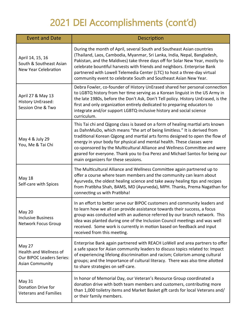## 2021 DEI Accomplishments (cont'd)

| <b>Event and Date</b>                                                                          | <b>Description</b>                                                                                                                                                                                                                                                                                                                                                                                                                                                                                                          |
|------------------------------------------------------------------------------------------------|-----------------------------------------------------------------------------------------------------------------------------------------------------------------------------------------------------------------------------------------------------------------------------------------------------------------------------------------------------------------------------------------------------------------------------------------------------------------------------------------------------------------------------|
| April 14, 15, 16<br>South & Southeast Asian<br>New Year Celebration                            | During the month of April, several South and Southeast Asian countries<br>(Thailand, Laos, Cambodia, Myanmar, Sri Lanka, India, Nepal, Bangladesh,<br>Pakistan, and the Maldives) take three days off for Solar New Year, mostly to<br>celebrate bountiful harvests with friends and neighbors. Enterprise Bank<br>partnered with Lowell Telemedia Center (LTC) to host a three-day virtual<br>community event to celebrate South and Southeast Asian New Year.                                                             |
| April 27 & May 13<br>History UnErased:<br>Session One & Two                                    | Debra Fowler, co-founder of History UnErased shared her personal connection<br>to LGBTQ history from her time serving as a Korean linguist in the US Army in<br>the late 1980s, before the Don't Ask, Don't Tell policy. History UnErased, is the<br>first and only organization entirely dedicated to preparing educators to<br>integrate and/or support LGBTQ-inclusive history and social science<br>curriculum.                                                                                                         |
| May 4 & July 29<br>You, Me & Tai Chi                                                           | This Tai chi and Qigong class is based on a form of healing martial arts known<br>as DahnMuDo, which means "the art of being limitless." It is derived from<br>traditional Korean Qigong and martial arts forms designed to open the flow of<br>energy in your body for physical and mental health. These classes were<br>co-sponsored by the Multicultural Alliance and Wellness Committee and were<br>geared for everyone. Thank you to Eva Perez and Michael Santos for being our<br>main organizers for these sessions. |
| May 18<br>Self-care with Spices                                                                | The Multicultural Alliance and Wellness Committee again partnered up to<br>offer a course where team members and the community can learn about<br>Ayurveda, the oldest healing science and take away healing tips and recipes<br>from Pratibha Shah, BAMS, MD (Ayurveda), MPH. Thanks, Prema Nagathan for<br>connecting us with Pratibha!                                                                                                                                                                                   |
| <b>May 20</b><br><b>Inclusive Business</b><br><b>Network Focus Group</b>                       | In an effort to better serve our BIPOC customers and community leaders and<br>to learn how we all can provide assistance towards their success, a focus<br>group was conducted with an audience referred by our branch network. This<br>idea was planted during one of the Inclusion Council meetings and was well<br>received. Some work is currently in motion based on feedback and input<br>received from this meeting.                                                                                                 |
| May 27<br>Health and Wellness of<br><b>Our BIPOC Leaders Series:</b><br><b>Asian Community</b> | Enterprise Bank again partnered with REACH LoWell and area partners to offer<br>a safe space for Asian community leaders to discuss topics related to: Impact<br>of experiencing lifelong discrimination and racism; Colorism among cultural<br>groups; and the Importance of cultural literacy. There was also time allotted<br>to share strategies on self-care.                                                                                                                                                          |
| May 31<br>Donation Drive for<br><b>Veterans and Families</b>                                   | In honor of Memorial Day, our Veteran's Resource Group coordinated a<br>donation drive with both team members and customers, contributing more<br>than 1,000 toiletry items and Market Basket gift cards for local Veterans and/<br>or their family members.                                                                                                                                                                                                                                                                |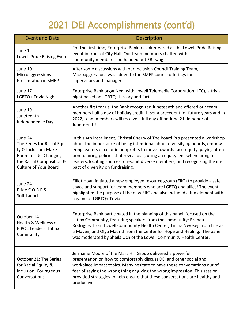# 2021 DEI Accomplishments (cont'd)

| <b>Event and Date</b>                                                                                                                               | Description                                                                                                                                                                                                                                                                                                                                                                                                                                              |  |  |  |  |
|-----------------------------------------------------------------------------------------------------------------------------------------------------|----------------------------------------------------------------------------------------------------------------------------------------------------------------------------------------------------------------------------------------------------------------------------------------------------------------------------------------------------------------------------------------------------------------------------------------------------------|--|--|--|--|
| June 1<br>Lowell Pride Raising Event                                                                                                                | For the first time, Enterprise Bankers volunteered at the Lowell Pride Raising<br>event in front of City Hall. Our team members chatted with<br>community members and handed out EB swag!                                                                                                                                                                                                                                                                |  |  |  |  |
| June 10<br>Microaggressions<br><b>Presentation in SMEP</b>                                                                                          | After some discussions with our Inclusion Council Training Team,<br>Microaggressions was added to the SMEP course offerings for<br>supervisors and managers.                                                                                                                                                                                                                                                                                             |  |  |  |  |
| June 17<br>LGBTQ+ Trivia Night                                                                                                                      | Enterprise Bank organized, with Lowell Telemedia Corporation (LTC), a trivia<br>night based on LGBTQ+ history and facts!                                                                                                                                                                                                                                                                                                                                 |  |  |  |  |
| June 19<br>Juneteenth<br>Independence Day                                                                                                           | Another first for us, the Bank recognized Juneteenth and offered our team<br>members half a day of holiday credit. It set a precedent for future years and in<br>2022, team members will receive a full day off on June 21, in honor of<br>Juneteenth!                                                                                                                                                                                                   |  |  |  |  |
| June 24<br>The Series for Racial Equi-<br>ty & Inclusion: Make<br>Room for Us: Changing<br>the Racial Composition &<br><b>Culture of Your Board</b> | In this 4th installment, Christal Cherry of The Board Pro presented a workshop<br>about the importance of being intentional about diversifying boards, empow-<br>ering leaders of color in nonprofits to move towards race-equity, paying atten-<br>tion to hiring policies that reveal bias, using an equity lens when hiring for<br>leaders, locating sources to recruit diverse members, and recognizing the im-<br>pact of diversity on fundraising. |  |  |  |  |
| June 24<br>Pride C.O.R.P.S.<br>Soft Launch                                                                                                          | Elliot Hoan initiated a new employee resource group (ERG) to provide a safe<br>space and support for team members who are LGBTQ and allies! The event<br>highlighted the purpose of the new ERG and also included a fun element with<br>a game of LGBTQ+ Trivia!                                                                                                                                                                                         |  |  |  |  |
| October 14<br>Health & Wellness of<br><b>BIPOC Leaders: Latinx</b><br>Community                                                                     | Enterprise Bank participated in the planning of this panel, focused on the<br>Latinx Community, featuring speakers from the community: Brenda<br>Rodriguez from Lowell Community Health Center, Timna Nwokeji from Life as<br>a Maven, and Olga Madrid from the Center for Hope and Healing. The panel<br>was moderated by Sheila Och of the Lowell Community Health Center.                                                                             |  |  |  |  |
| October 21: The Series<br>for Racial Equity &<br>Inclusion: Courageous<br>Conversations                                                             | Jermaine Moore of the Mars Hill Group delivered a powerful<br>presentation on how to comfortably discuss DEI and other social and<br>workplace impact topics. Many hesitate to have these conversations out of<br>fear of saying the wrong thing or giving the wrong impression. This session<br>provided strategies to help ensure that these conversations are healthy and<br>productive.                                                              |  |  |  |  |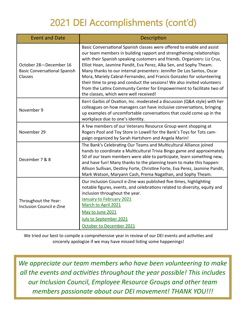## 2021 DEI Accomplishments (cont'd)

| <b>Event and Date</b>                                                    | Description                                                                                                                                                                                                                                                                                                                                                                                                                                                                                                                                                                                                                                      |  |  |  |  |  |
|--------------------------------------------------------------------------|--------------------------------------------------------------------------------------------------------------------------------------------------------------------------------------------------------------------------------------------------------------------------------------------------------------------------------------------------------------------------------------------------------------------------------------------------------------------------------------------------------------------------------------------------------------------------------------------------------------------------------------------------|--|--|--|--|--|
| October 28-December 16<br><b>Basic Conversational Spanish</b><br>Classes | Basic Conversational Spanish classes were offered to enable and assist<br>our team members in building rapport and strengthening relationships<br>with their Spanish speaking customers and friends. Organizers: Liz Cruz,<br>Elliot Hoan, Jasmine Pandit, Eva Perez, Alka Sen, and Sophy Theam.<br>Many thanks to our internal presenters: Jennifer De Los Santos, Oscar<br>Mora, Mariely Cabral-Fernandez, and Francis Gonzalez for volunteering<br>their time to prep and conduct the sessions! We also invited volunteers<br>from the Latinx Community Center for Empowerment to facilitate two of<br>the classes, which were well received! |  |  |  |  |  |
| November 9                                                               | Kerri Garbis of Ovation, Inc. moderated a discussion (Q&A style) with her<br>colleagues on how managers can have inclusive conversations, bringing<br>up examples of uncomfortable conversations that could come up in the<br>workplace due to one's identity.                                                                                                                                                                                                                                                                                                                                                                                   |  |  |  |  |  |
| November 29                                                              | A few members of our Veterans Resource Group went shopping at<br>Rogers Pool and Toy Store in Lowell for the Bank's Toys for Tots cam-<br>paign organized by Sarah Hartshorn and Angela Marin!                                                                                                                                                                                                                                                                                                                                                                                                                                                   |  |  |  |  |  |
| December 7 & 8                                                           | The Bank's Celebrating Our Teams and Multicultural Alliance joined<br>hands to coordinate a Multicultural Trivia Bingo game and approximately<br>50 of our team members were able to participate, learn something new,<br>and have fun! Many thanks to the planning team to make this happen:<br>Allison Sullivan, Destiny Forte, Christine Forte, Eva Perez, Jasmine Pandit,<br>Mark Watson, Maryann Cash, Prema Nagathan, and Sophy Theam.                                                                                                                                                                                                     |  |  |  |  |  |
| Throughout the Year:<br><b>Inclusion Council e-Zine</b>                  | Our Inclusion Council e-Zine was published five times, highlighting<br>notable figures, events, and celebrations related to diversity, equity and<br>inclusion throughout the year.<br>January to February 2021<br>March to April 2021<br>May to June 2021<br>July to September 2021<br>October to December 2021                                                                                                                                                                                                                                                                                                                                 |  |  |  |  |  |

We tried our best to compile a comprehensive year in review of our DEI events and activities and sincerely apologize if we may have missed listing some happenings!

*We appreciate our team members who have been volunteering to make all the events and activities throughout the year possible! This includes our Inclusion Council, Employee Resource Groups and other team members passionate about our DEI movement! THANK YOU!!!*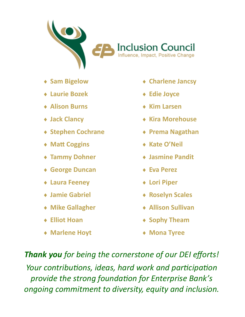

**Inclusion Council**<br>Influence, Impact, Positive Change

- **Sam Bigelow**
- **Laurie Bozek**
- **Alison Burns**
- **Jack Clancy**
- **Stephen Cochrane**
- **Matt Coggins**
- **Tammy Dohner**
- **George Duncan**
- **Laura Feeney**
- **Jamie Gabriel**
- **Mike Gallagher**
- **Elliot Hoan**
- **Marlene Hoyt**
- **Charlene Jancsy**
- **Edie Joyce**
- **Kim Larsen**
- **Kira Morehouse**
- **Prema Nagathan**
- **Kate O'Neil**
- **Jasmine Pandit**
- **Eva Perez**
- **Lori Piper**
- **Roselyn Scales**
- **Allison Sullivan**
- **Sophy Theam**
- **Mona Tyree**

*Thank you for being the cornerstone of our DEI efforts! Your contributions, ideas, hard work and participation provide the strong foundation for Enterprise Bank's* 

*ongoing commitment to diversity, equity and inclusion.*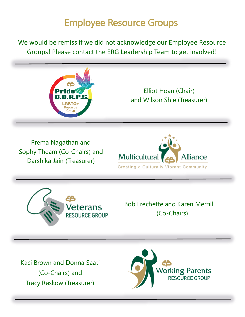#### Employee Resource Groups

We would be remiss if we did not acknowledge our Employee Resource Groups! Please contact the ERG Leadership Team to get involved!

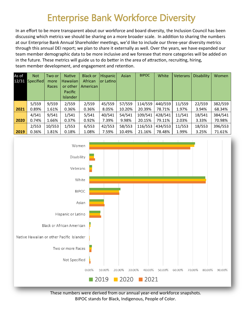#### Enterprise Bank Workforce Diversity

In an effort to be more transparent about our workforce and board diversity, the Inclusion Council has been discussing which metrics we should be sharing on a more broader scale. In addition to sharing the numbers at our Enterprise Bank Annual Shareholder meetings, we'd like to include our three-year diversity metrics through this annual DEI report; we plan to share it externally as well. Over the years, we have expanded our team member demographic data to be more inclusive and we foresee that more categories will be added on in the future. These metrics will guide us to do better in the area of attraction, recruiting, hiring, team member development, and engagement and retention.

| As of | <b>Not</b> | Two or | <b>Native</b>   | <b>Black or</b> | <b>Hispanic</b> | Asian  | <b>BIPOC</b> | White   | <b>Veterans</b> | <b>Disability</b> | Women   |
|-------|------------|--------|-----------------|-----------------|-----------------|--------|--------------|---------|-----------------|-------------------|---------|
| 12/31 | Specified  | more   | Hawaiian        | African         | or Latinol      |        |              |         |                 |                   |         |
|       |            | Races  | or other        | American        |                 |        |              |         |                 |                   |         |
|       |            |        | Pacific         |                 |                 |        |              |         |                 |                   |         |
|       |            |        | <b>Islander</b> |                 |                 |        |              |         |                 |                   |         |
|       | 5/559      | 9/559  | 2/559           | 2/559           | 45/559          | 57/559 | 114/559      | 440/559 | 11/559          | 22/559            | 382/559 |
| 2021  | 0.89%      | 1.61%  | 0.36%           | 0.36%           | 8.05%           | 10.20% | 20.39%       | 78.71%  | 1.97%           | 3.94%             | 68.34%  |
|       | 4/541      | 9/541  | 1/541           | 5/541           | 40/541          | 54/541 | 109/541      | 428/541 | 11/541          | 18/541            | 384/541 |
| 2020  | 0.74%      | 1.66%  | 0.37%           | 0.92%           | 7.39%           | 9.98%  | 20.15%       | 79.11%  | 2.03%           | 3.33%             | 70.98%  |
|       | 2/553      | 10/553 | 1/553           | 6/553           | 42/553          | 58/553 | 116/553      | 434/553 | 11/553          | 18/553            | 396/553 |
| 2019  | 0.36%      | 1.81%  | 0.18%           | 1.08%           | 7.59%           | 10.49% | 21.16%       | 78.48%  | 1.99%           | 3.25%             | 71.61%  |



These numbers were derived from our annual year-end workforce snapshots. BIPOC stands for Black, Indigenous, People of Color.